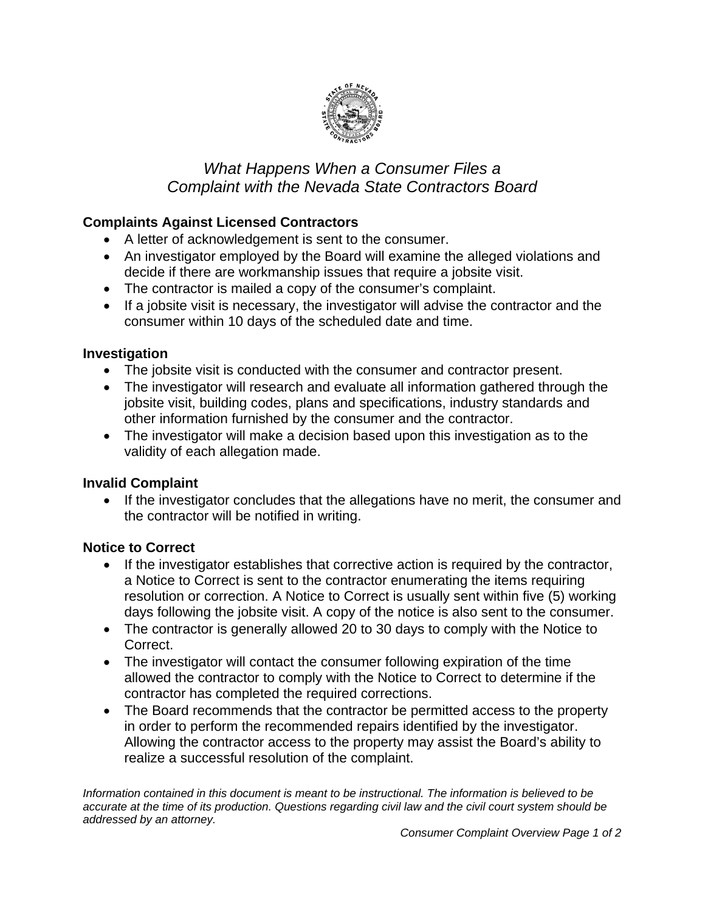

# *What Happens When a Consumer Files a Complaint with the Nevada State Contractors Board*

# **Complaints Against Licensed Contractors**

- A letter of acknowledgement is sent to the consumer.
- An investigator employed by the Board will examine the alleged violations and decide if there are workmanship issues that require a jobsite visit.
- The contractor is mailed a copy of the consumer's complaint.
- If a jobsite visit is necessary, the investigator will advise the contractor and the consumer within 10 days of the scheduled date and time.

### **Investigation**

- The jobsite visit is conducted with the consumer and contractor present.
- The investigator will research and evaluate all information gathered through the jobsite visit, building codes, plans and specifications, industry standards and other information furnished by the consumer and the contractor.
- The investigator will make a decision based upon this investigation as to the validity of each allegation made.

### **Invalid Complaint**

 If the investigator concludes that the allegations have no merit, the consumer and the contractor will be notified in writing.

# **Notice to Correct**

- If the investigator establishes that corrective action is required by the contractor, a Notice to Correct is sent to the contractor enumerating the items requiring resolution or correction. A Notice to Correct is usually sent within five (5) working days following the jobsite visit. A copy of the notice is also sent to the consumer.
- The contractor is generally allowed 20 to 30 days to comply with the Notice to Correct.
- The investigator will contact the consumer following expiration of the time allowed the contractor to comply with the Notice to Correct to determine if the contractor has completed the required corrections.
- The Board recommends that the contractor be permitted access to the property in order to perform the recommended repairs identified by the investigator. Allowing the contractor access to the property may assist the Board's ability to realize a successful resolution of the complaint.

*Information contained in this document is meant to be instructional. The information is believed to be accurate at the time of its production. Questions regarding civil law and the civil court system should be addressed by an attorney.*